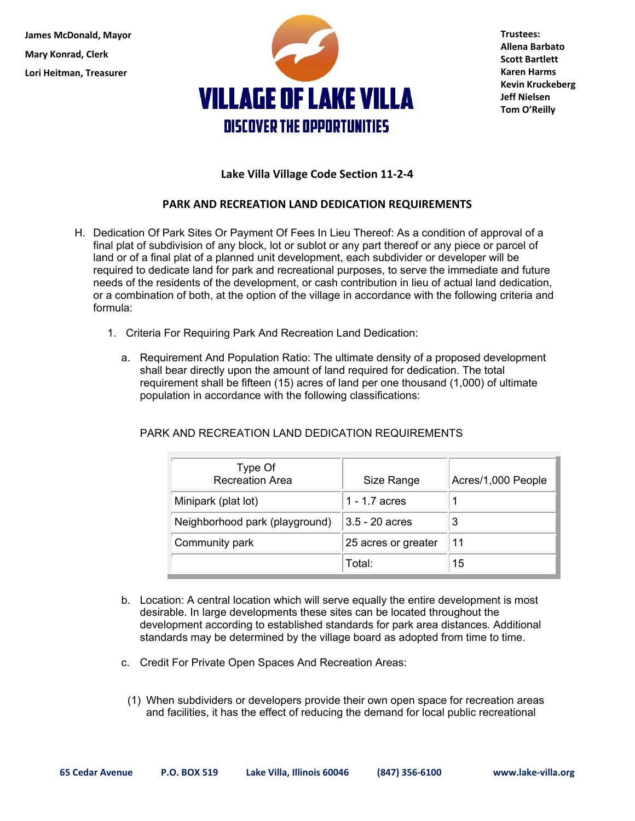**James McDonald, Mayor Mary Konrad, Clerk Lori Heitman, Treasurer** 



**Trustees: Allena Barbato Scott Bartlett Karen Harms Kevin Kruckeberg Jeff Nielsen Tom O'Reilly** 

## **Lake Villa Village Code Section 11‐2‐4**

## **PARK AND RECREATION LAND DEDICATION REQUIREMENTS**

- H. Dedication Of Park Sites Or Payment Of Fees In Lieu Thereof: As a condition of approval of a final plat of subdivision of any block, lot or sublot or any part thereof or any piece or parcel of land or of a final plat of a planned unit development, each subdivider or developer will be required to dedicate land for park and recreational purposes, to serve the immediate and future needs of the residents of the development, or cash contribution in lieu of actual land dedication, or a combination of both, at the option of the village in accordance with the following criteria and formula:
	- 1. Criteria For Requiring Park And Recreation Land Dedication:
		- a. Requirement And Population Ratio: The ultimate density of a proposed development shall bear directly upon the amount of land required for dedication. The total requirement shall be fifteen (15) acres of land per one thousand (1,000) of ultimate population in accordance with the following classifications:

| Type Of<br><b>Recreation Area</b> | Size Range          | Acres/1,000 People |
|-----------------------------------|---------------------|--------------------|
| Minipark (plat lot)               | 1 - 1.7 acres       |                    |
| Neighborhood park (playground)    | 3.5 - 20 acres      |                    |
| Community park                    | 25 acres or greater | 11                 |
|                                   | Total:              | 15                 |

## PARK AND RECREATION LAND DEDICATION REQUIREMENTS

- b. Location: A central location which will serve equally the entire development is most desirable. In large developments these sites can be located throughout the development according to established standards for park area distances. Additional standards may be determined by the village board as adopted from time to time.
- c. Credit For Private Open Spaces And Recreation Areas:
- (1) When subdividers or developers provide their own open space for recreation areas and facilities, it has the effect of reducing the demand for local public recreational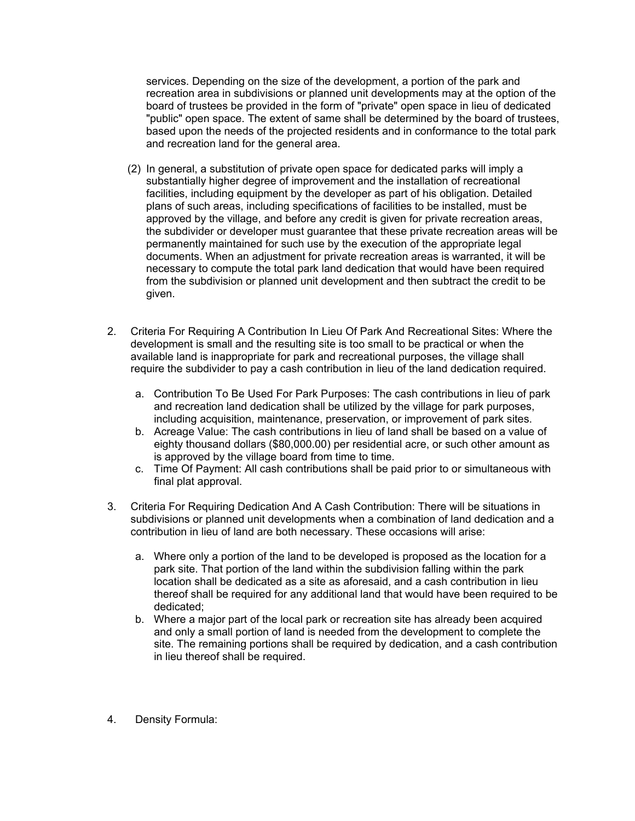services. Depending on the size of the development, a portion of the park and recreation area in subdivisions or planned unit developments may at the option of the board of trustees be provided in the form of "private" open space in lieu of dedicated "public" open space. The extent of same shall be determined by the board of trustees, based upon the needs of the projected residents and in conformance to the total park and recreation land for the general area.

- (2) In general, a substitution of private open space for dedicated parks will imply a substantially higher degree of improvement and the installation of recreational facilities, including equipment by the developer as part of his obligation. Detailed plans of such areas, including specifications of facilities to be installed, must be approved by the village, and before any credit is given for private recreation areas, the subdivider or developer must guarantee that these private recreation areas will be permanently maintained for such use by the execution of the appropriate legal documents. When an adjustment for private recreation areas is warranted, it will be necessary to compute the total park land dedication that would have been required from the subdivision or planned unit development and then subtract the credit to be given.
- 2. Criteria For Requiring A Contribution In Lieu Of Park And Recreational Sites: Where the development is small and the resulting site is too small to be practical or when the available land is inappropriate for park and recreational purposes, the village shall require the subdivider to pay a cash contribution in lieu of the land dedication required.
	- a. Contribution To Be Used For Park Purposes: The cash contributions in lieu of park and recreation land dedication shall be utilized by the village for park purposes, including acquisition, maintenance, preservation, or improvement of park sites.
	- b. Acreage Value: The cash contributions in lieu of land shall be based on a value of eighty thousand dollars (\$80,000.00) per residential acre, or such other amount as is approved by the village board from time to time.
	- c. Time Of Payment: All cash contributions shall be paid prior to or simultaneous with final plat approval.
- 3. Criteria For Requiring Dedication And A Cash Contribution: There will be situations in subdivisions or planned unit developments when a combination of land dedication and a contribution in lieu of land are both necessary. These occasions will arise:
	- a. Where only a portion of the land to be developed is proposed as the location for a park site. That portion of the land within the subdivision falling within the park location shall be dedicated as a site as aforesaid, and a cash contribution in lieu thereof shall be required for any additional land that would have been required to be dedicated;
	- b. Where a major part of the local park or recreation site has already been acquired and only a small portion of land is needed from the development to complete the site. The remaining portions shall be required by dedication, and a cash contribution in lieu thereof shall be required.
- 4. Density Formula: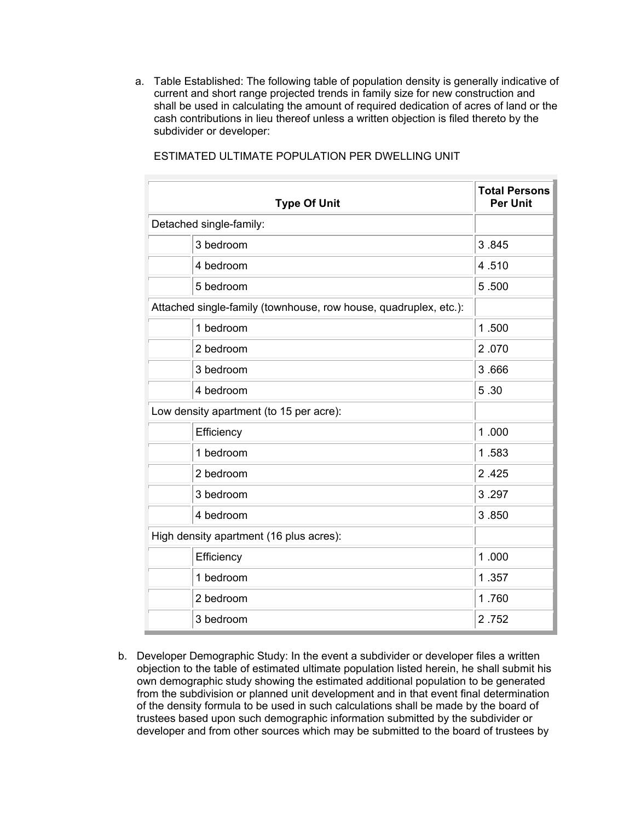a. Table Established: The following table of population density is generally indicative of current and short range projected trends in family size for new construction and shall be used in calculating the amount of required dedication of acres of land or the cash contributions in lieu thereof unless a written objection is filed thereto by the subdivider or developer:

|                                                                  | <b>Type Of Unit</b>     | <b>Total Persons</b><br><b>Per Unit</b> |
|------------------------------------------------------------------|-------------------------|-----------------------------------------|
|                                                                  | Detached single-family: |                                         |
|                                                                  | 3 bedroom               | 3.845                                   |
|                                                                  | 4 bedroom               | 4.510                                   |
|                                                                  | 5 bedroom               | 5.500                                   |
| Attached single-family (townhouse, row house, quadruplex, etc.): |                         |                                         |
|                                                                  | 1 bedroom               | 1.500                                   |
|                                                                  | 2 bedroom               | 2.070                                   |
|                                                                  | 3 bedroom               | 3.666                                   |
|                                                                  | 4 bedroom               | 5.30                                    |
| Low density apartment (to 15 per acre):                          |                         |                                         |
|                                                                  | Efficiency              | 1.000                                   |
|                                                                  | 1 bedroom               | 1.583                                   |
|                                                                  | 2 bedroom               | 2.425                                   |
|                                                                  | 3 bedroom               | 3.297                                   |
|                                                                  | 4 bedroom               | 3.850                                   |
| High density apartment (16 plus acres):                          |                         |                                         |
|                                                                  | Efficiency              | 1.000                                   |
|                                                                  | 1 bedroom               | 1.357                                   |
|                                                                  | 2 bedroom               | 1.760                                   |
|                                                                  | 3 bedroom               | 2.752                                   |

ESTIMATED ULTIMATE POPULATION PER DWELLING UNIT

b. Developer Demographic Study: In the event a subdivider or developer files a written objection to the table of estimated ultimate population listed herein, he shall submit his own demographic study showing the estimated additional population to be generated from the subdivision or planned unit development and in that event final determination of the density formula to be used in such calculations shall be made by the board of trustees based upon such demographic information submitted by the subdivider or developer and from other sources which may be submitted to the board of trustees by